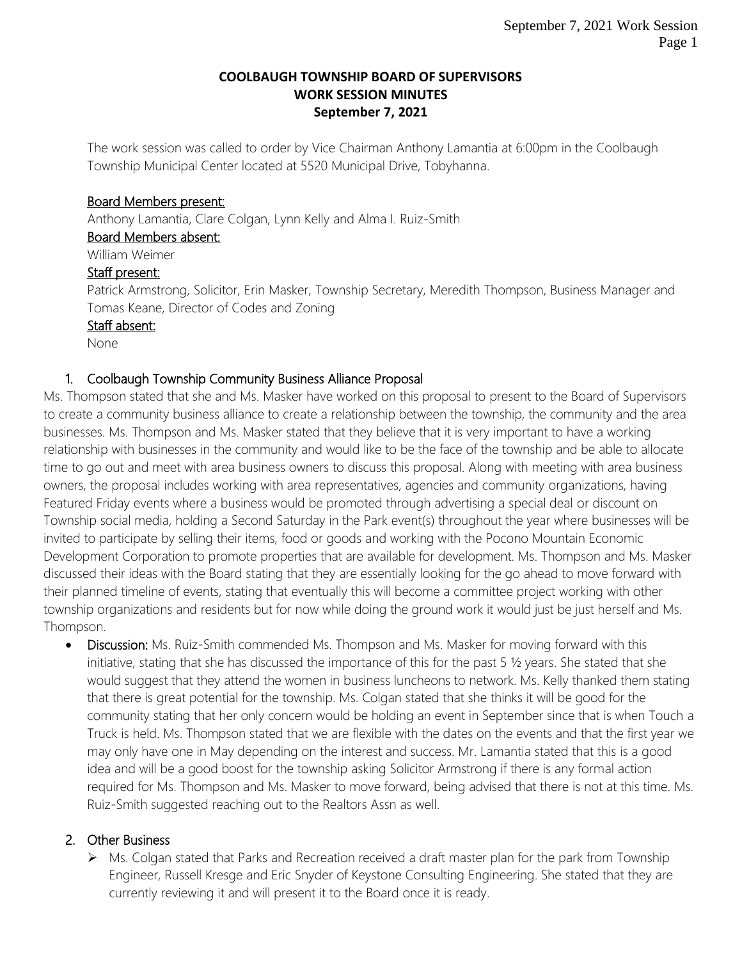### **COOLBAUGH TOWNSHIP BOARD OF SUPERVISORS WORK SESSION MINUTES September 7, 2021**

The work session was called to order by Vice Chairman Anthony Lamantia at 6:00pm in the Coolbaugh Township Municipal Center located at 5520 Municipal Drive, Tobyhanna.

## Board Members present:

Anthony Lamantia, Clare Colgan, Lynn Kelly and Alma I. Ruiz-Smith

Board Members absent:

William Weimer

## Staff present:

Patrick Armstrong, Solicitor, Erin Masker, Township Secretary, Meredith Thompson, Business Manager and Tomas Keane, Director of Codes and Zoning

## Staff absent:

None

## 1. Coolbaugh Township Community Business Alliance Proposal

Ms. Thompson stated that she and Ms. Masker have worked on this proposal to present to the Board of Supervisors to create a community business alliance to create a relationship between the township, the community and the area businesses. Ms. Thompson and Ms. Masker stated that they believe that it is very important to have a working relationship with businesses in the community and would like to be the face of the township and be able to allocate time to go out and meet with area business owners to discuss this proposal. Along with meeting with area business owners, the proposal includes working with area representatives, agencies and community organizations, having Featured Friday events where a business would be promoted through advertising a special deal or discount on Township social media, holding a Second Saturday in the Park event(s) throughout the year where businesses will be invited to participate by selling their items, food or goods and working with the Pocono Mountain Economic Development Corporation to promote properties that are available for development. Ms. Thompson and Ms. Masker discussed their ideas with the Board stating that they are essentially looking for the go ahead to move forward with their planned timeline of events, stating that eventually this will become a committee project working with other township organizations and residents but for now while doing the ground work it would just be just herself and Ms. Thompson.

• Discussion: Ms. Ruiz-Smith commended Ms. Thompson and Ms. Masker for moving forward with this initiative, stating that she has discussed the importance of this for the past 5 ½ years. She stated that she would suggest that they attend the women in business luncheons to network. Ms. Kelly thanked them stating that there is great potential for the township. Ms. Colgan stated that she thinks it will be good for the community stating that her only concern would be holding an event in September since that is when Touch a Truck is held. Ms. Thompson stated that we are flexible with the dates on the events and that the first year we may only have one in May depending on the interest and success. Mr. Lamantia stated that this is a good idea and will be a good boost for the township asking Solicitor Armstrong if there is any formal action required for Ms. Thompson and Ms. Masker to move forward, being advised that there is not at this time. Ms. Ruiz-Smith suggested reaching out to the Realtors Assn as well.

## 2. Other Business

 $\triangleright$  Ms. Colgan stated that Parks and Recreation received a draft master plan for the park from Township Engineer, Russell Kresge and Eric Snyder of Keystone Consulting Engineering. She stated that they are currently reviewing it and will present it to the Board once it is ready.